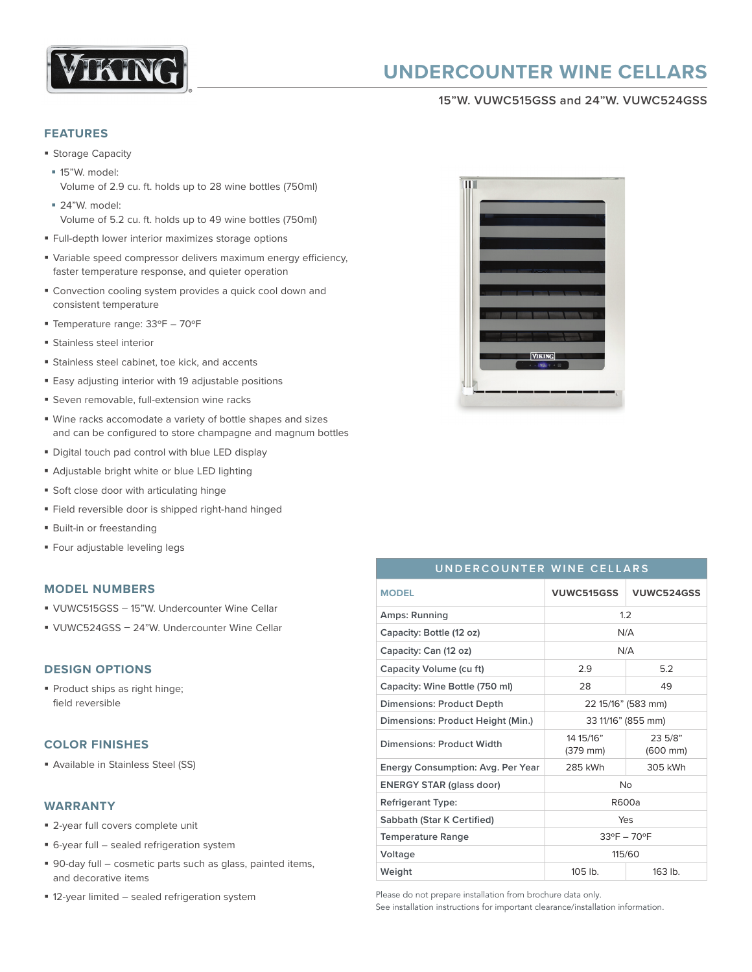

# **UNDERCOUNTER WINE CELLARS**

#### **15"W. VUWC515GSS and 24"W. VUWC524GSS**

#### **FEATURES**

- Storage Capacity
- § 15"W. model: Volume of 2.9 cu. ft. holds up to 28 wine bottles (750ml)
- § 24"W. model: Volume of 5.2 cu. ft. holds up to 49 wine bottles (750ml)
- Full-depth lower interior maximizes storage options
- § Variable speed compressor delivers maximum energy efficiency, faster temperature response, and quieter operation
- Convection cooling system provides a quick cool down and consistent temperature
- § Temperature range: 33ºF 70ºF
- § Stainless steel interior
- **Stainless steel cabinet, toe kick, and accents**
- Easy adjusting interior with 19 adjustable positions
- Seven removable, full-extension wine racks
- § Wine racks accomodate a variety of bottle shapes and sizes and can be configured to store champagne and magnum bottles
- **Digital touch pad control with blue LED display**
- § Adjustable bright white or blue LED lighting
- § Soft close door with articulating hinge
- § Field reversible door is shipped right-hand hinged
- Built-in or freestanding
- § Four adjustable leveling legs

#### **MODEL NUMBERS**

- § VUWC515GSS 15"W. Undercounter Wine Cellar
- § VUWC524GSS 24"W. Undercounter Wine Cellar

## **DESIGN OPTIONS**

§ Product ships as right hinge; field reversible

## **COLOR FINISHES**

§ Available in Stainless Steel (SS)

#### **WARRANTY**

- 2-year full covers complete unit
- § 6-year full sealed refrigeration system
- 90-day full cosmetic parts such as glass, painted items, and decorative items
- 12-year limited sealed refrigeration system



# **UNDERCOUNTER WINE CELLARS**

| <b>MODEL</b>                      | <b>VUWC515GSS</b>           | VUWC524GSS                      |
|-----------------------------------|-----------------------------|---------------------------------|
| Amps: Running                     | 1.2                         |                                 |
| Capacity: Bottle (12 oz)          | N/A                         |                                 |
| Capacity: Can (12 oz)             | N/A                         |                                 |
| Capacity Volume (cu ft)           | 2.9                         | 5.2                             |
| Capacity: Wine Bottle (750 ml)    | 28                          | 49                              |
| Dimensions: Product Depth         | 22 15/16" (583 mm)          |                                 |
| Dimensions: Product Height (Min.) | 33 11/16" (855 mm)          |                                 |
| Dimensions: Product Width         | 14 15/16"<br>(379 mm)       | 23.5/8"<br>$(600 \, \text{mm})$ |
| Energy Consumption: Avg. Per Year | 285 kWh                     | 305 kWh                         |
| <b>ENERGY STAR (glass door)</b>   | <b>No</b>                   |                                 |
| <b>Refrigerant Type:</b>          | R600a                       |                                 |
| Sabbath (Star K Certified)        | Yes                         |                                 |
| <b>Temperature Range</b>          | $33^{\circ}F - 70^{\circ}F$ |                                 |
| Voltage                           | 115/60                      |                                 |
| Weight                            | 105 lb.                     | $163$ lb.                       |

Please do not prepare installation from brochure data only.

See installation instructions for important clearance/installation information.